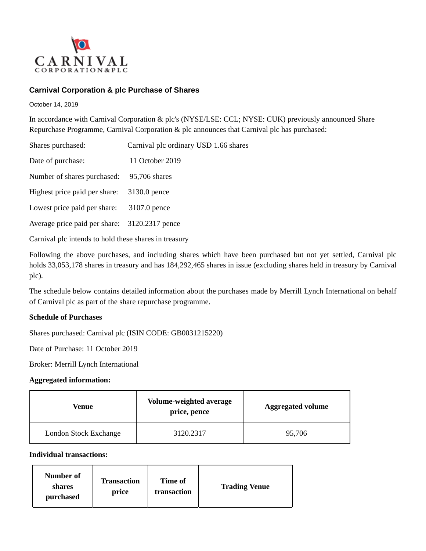

## **Carnival Corporation & plc Purchase of Shares**

October 14, 2019

In accordance with Carnival Corporation & plc's (NYSE/LSE: CCL; NYSE: CUK) previously announced Share Repurchase Programme, Carnival Corporation & plc announces that Carnival plc has purchased:

| Shares purchased:                             | Carnival plc ordinary USD 1.66 shares |
|-----------------------------------------------|---------------------------------------|
| Date of purchase:                             | 11 October 2019                       |
| Number of shares purchased:                   | 95,706 shares                         |
| Highest price paid per share:                 | 3130.0 pence                          |
| Lowest price paid per share:                  | 3107.0 pence                          |
| Average price paid per share: 3120.2317 pence |                                       |
|                                               |                                       |

Carnival plc intends to hold these shares in treasury

Following the above purchases, and including shares which have been purchased but not yet settled, Carnival plc holds 33,053,178 shares in treasury and has 184,292,465 shares in issue (excluding shares held in treasury by Carnival plc).

The schedule below contains detailed information about the purchases made by Merrill Lynch International on behalf of Carnival plc as part of the share repurchase programme.

## **Schedule of Purchases**

Shares purchased: Carnival plc (ISIN CODE: GB0031215220)

Date of Purchase: 11 October 2019

Broker: Merrill Lynch International

## **Aggregated information:**

| Venue                 | Volume-weighted average<br>price, pence | <b>Aggregated volume</b> |
|-----------------------|-----------------------------------------|--------------------------|
| London Stock Exchange | 3120.2317                               | 95,706                   |

## **Individual transactions:**

| Number of<br>shares<br>purchased | <b>Transaction</b><br>price | Time of<br>transaction | <b>Trading Venue</b> |
|----------------------------------|-----------------------------|------------------------|----------------------|
|----------------------------------|-----------------------------|------------------------|----------------------|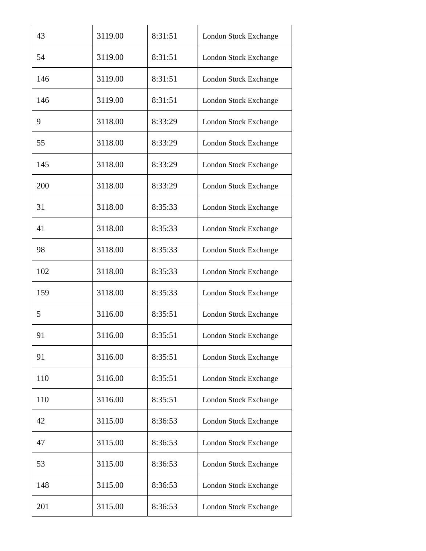| 43  | 3119.00 | 8:31:51 | <b>London Stock Exchange</b> |
|-----|---------|---------|------------------------------|
| 54  | 3119.00 | 8:31:51 | London Stock Exchange        |
| 146 | 3119.00 | 8:31:51 | <b>London Stock Exchange</b> |
| 146 | 3119.00 | 8:31:51 | <b>London Stock Exchange</b> |
| 9   | 3118.00 | 8:33:29 | <b>London Stock Exchange</b> |
| 55  | 3118.00 | 8:33:29 | <b>London Stock Exchange</b> |
| 145 | 3118.00 | 8:33:29 | <b>London Stock Exchange</b> |
| 200 | 3118.00 | 8:33:29 | <b>London Stock Exchange</b> |
| 31  | 3118.00 | 8:35:33 | <b>London Stock Exchange</b> |
| 41  | 3118.00 | 8:35:33 | <b>London Stock Exchange</b> |
| 98  | 3118.00 | 8:35:33 | <b>London Stock Exchange</b> |
| 102 | 3118.00 | 8:35:33 | <b>London Stock Exchange</b> |
| 159 | 3118.00 | 8:35:33 | <b>London Stock Exchange</b> |
| 5   | 3116.00 | 8:35:51 | <b>London Stock Exchange</b> |
| 91  | 3116.00 | 8:35:51 | <b>London Stock Exchange</b> |
| 91  | 3116.00 | 8:35:51 | <b>London Stock Exchange</b> |
| 110 | 3116.00 | 8:35:51 | <b>London Stock Exchange</b> |
| 110 | 3116.00 | 8:35:51 | <b>London Stock Exchange</b> |
| 42  | 3115.00 | 8:36:53 | <b>London Stock Exchange</b> |
| 47  | 3115.00 | 8:36:53 | <b>London Stock Exchange</b> |
| 53  | 3115.00 | 8:36:53 | <b>London Stock Exchange</b> |
| 148 | 3115.00 | 8:36:53 | <b>London Stock Exchange</b> |
| 201 | 3115.00 | 8:36:53 | <b>London Stock Exchange</b> |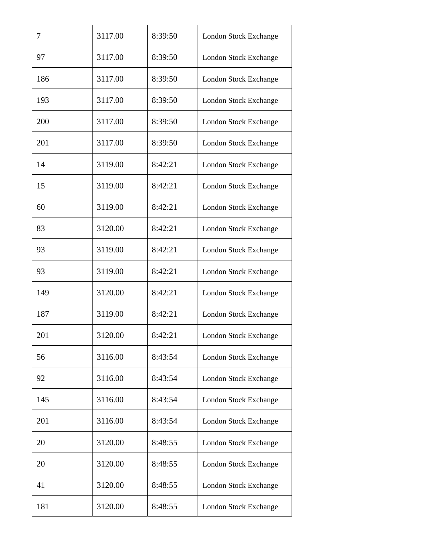| 7   | 3117.00 | 8:39:50 | <b>London Stock Exchange</b> |
|-----|---------|---------|------------------------------|
| 97  | 3117.00 | 8:39:50 | <b>London Stock Exchange</b> |
| 186 | 3117.00 | 8:39:50 | <b>London Stock Exchange</b> |
| 193 | 3117.00 | 8:39:50 | <b>London Stock Exchange</b> |
| 200 | 3117.00 | 8:39:50 | <b>London Stock Exchange</b> |
| 201 | 3117.00 | 8:39:50 | <b>London Stock Exchange</b> |
| 14  | 3119.00 | 8:42:21 | <b>London Stock Exchange</b> |
| 15  | 3119.00 | 8:42:21 | <b>London Stock Exchange</b> |
| 60  | 3119.00 | 8:42:21 | <b>London Stock Exchange</b> |
| 83  | 3120.00 | 8:42:21 | <b>London Stock Exchange</b> |
| 93  | 3119.00 | 8:42:21 | <b>London Stock Exchange</b> |
| 93  | 3119.00 | 8:42:21 | London Stock Exchange        |
| 149 | 3120.00 | 8:42:21 | <b>London Stock Exchange</b> |
| 187 | 3119.00 | 8:42:21 | <b>London Stock Exchange</b> |
| 201 | 3120.00 | 8:42:21 | <b>London Stock Exchange</b> |
| 56  | 3116.00 | 8:43:54 | <b>London Stock Exchange</b> |
| 92  | 3116.00 | 8:43:54 | <b>London Stock Exchange</b> |
| 145 | 3116.00 | 8:43:54 | <b>London Stock Exchange</b> |
| 201 | 3116.00 | 8:43:54 | <b>London Stock Exchange</b> |
| 20  | 3120.00 | 8:48:55 | London Stock Exchange        |
| 20  | 3120.00 | 8:48:55 | <b>London Stock Exchange</b> |
| 41  | 3120.00 | 8:48:55 | <b>London Stock Exchange</b> |
| 181 | 3120.00 | 8:48:55 | <b>London Stock Exchange</b> |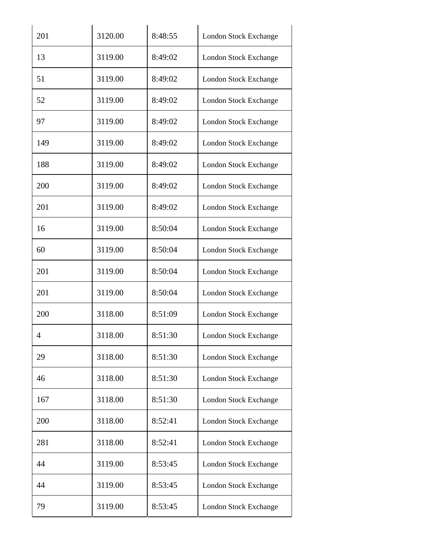| 201 | 3120.00 | 8:48:55 | London Stock Exchange        |
|-----|---------|---------|------------------------------|
| 13  | 3119.00 | 8:49:02 | <b>London Stock Exchange</b> |
| 51  | 3119.00 | 8:49:02 | <b>London Stock Exchange</b> |
| 52  | 3119.00 | 8:49:02 | <b>London Stock Exchange</b> |
| 97  | 3119.00 | 8:49:02 | <b>London Stock Exchange</b> |
| 149 | 3119.00 | 8:49:02 | <b>London Stock Exchange</b> |
| 188 | 3119.00 | 8:49:02 | <b>London Stock Exchange</b> |
| 200 | 3119.00 | 8:49:02 | <b>London Stock Exchange</b> |
| 201 | 3119.00 | 8:49:02 | <b>London Stock Exchange</b> |
| 16  | 3119.00 | 8:50:04 | <b>London Stock Exchange</b> |
| 60  | 3119.00 | 8:50:04 | London Stock Exchange        |
| 201 | 3119.00 | 8:50:04 | London Stock Exchange        |
| 201 | 3119.00 | 8:50:04 | <b>London Stock Exchange</b> |
| 200 | 3118.00 | 8:51:09 | <b>London Stock Exchange</b> |
| 4   | 3118.00 | 8:51:30 | <b>London Stock Exchange</b> |
| 29  | 3118.00 | 8:51:30 | <b>London Stock Exchange</b> |
| 46  | 3118.00 | 8:51:30 | <b>London Stock Exchange</b> |
| 167 | 3118.00 | 8:51:30 | <b>London Stock Exchange</b> |
| 200 | 3118.00 | 8:52:41 | <b>London Stock Exchange</b> |
| 281 | 3118.00 | 8:52:41 | <b>London Stock Exchange</b> |
| 44  | 3119.00 | 8:53:45 | <b>London Stock Exchange</b> |
| 44  | 3119.00 | 8:53:45 | <b>London Stock Exchange</b> |
| 79  | 3119.00 | 8:53:45 | <b>London Stock Exchange</b> |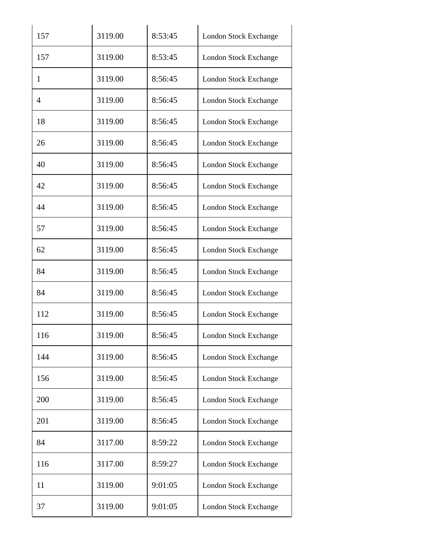| 157 | 3119.00 | 8:53:45 | <b>London Stock Exchange</b> |
|-----|---------|---------|------------------------------|
| 157 | 3119.00 | 8:53:45 | <b>London Stock Exchange</b> |
| 1   | 3119.00 | 8:56:45 | <b>London Stock Exchange</b> |
| 4   | 3119.00 | 8:56:45 | <b>London Stock Exchange</b> |
| 18  | 3119.00 | 8:56:45 | <b>London Stock Exchange</b> |
| 26  | 3119.00 | 8:56:45 | <b>London Stock Exchange</b> |
| 40  | 3119.00 | 8:56:45 | <b>London Stock Exchange</b> |
| 42  | 3119.00 | 8:56:45 | <b>London Stock Exchange</b> |
| 44  | 3119.00 | 8:56:45 | <b>London Stock Exchange</b> |
| 57  | 3119.00 | 8:56:45 | <b>London Stock Exchange</b> |
| 62  | 3119.00 | 8:56:45 | <b>London Stock Exchange</b> |
| 84  | 3119.00 | 8:56:45 | London Stock Exchange        |
| 84  | 3119.00 | 8:56:45 | <b>London Stock Exchange</b> |
| 112 | 3119.00 | 8:56:45 | <b>London Stock Exchange</b> |
| 116 | 3119.00 | 8:56:45 | London Stock Exchange        |
| 144 | 3119.00 | 8:56:45 | <b>London Stock Exchange</b> |
| 156 | 3119.00 | 8:56:45 | <b>London Stock Exchange</b> |
| 200 | 3119.00 | 8:56:45 | <b>London Stock Exchange</b> |
| 201 | 3119.00 | 8:56:45 | <b>London Stock Exchange</b> |
| 84  | 3117.00 | 8:59:22 | London Stock Exchange        |
| 116 | 3117.00 | 8:59:27 | <b>London Stock Exchange</b> |
| 11  | 3119.00 | 9:01:05 | <b>London Stock Exchange</b> |
| 37  | 3119.00 | 9:01:05 | <b>London Stock Exchange</b> |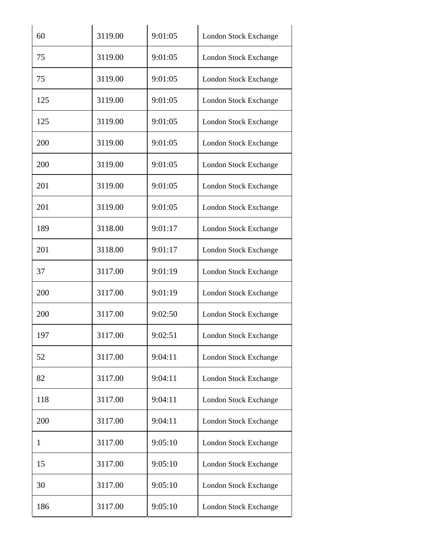| 60           | 3119.00 | 9:01:05 | London Stock Exchange        |
|--------------|---------|---------|------------------------------|
| 75           | 3119.00 | 9:01:05 | <b>London Stock Exchange</b> |
| 75           | 3119.00 | 9:01:05 | <b>London Stock Exchange</b> |
| 125          | 3119.00 | 9:01:05 | <b>London Stock Exchange</b> |
| 125          | 3119.00 | 9:01:05 | <b>London Stock Exchange</b> |
| 200          | 3119.00 | 9:01:05 | <b>London Stock Exchange</b> |
| 200          | 3119.00 | 9:01:05 | <b>London Stock Exchange</b> |
| 201          | 3119.00 | 9:01:05 | <b>London Stock Exchange</b> |
| 201          | 3119.00 | 9:01:05 | <b>London Stock Exchange</b> |
| 189          | 3118.00 | 9:01:17 | <b>London Stock Exchange</b> |
| 201          | 3118.00 | 9:01:17 | <b>London Stock Exchange</b> |
| 37           | 3117.00 | 9:01:19 | London Stock Exchange        |
| 200          | 3117.00 | 9:01:19 | <b>London Stock Exchange</b> |
| 200          | 3117.00 | 9:02:50 | <b>London Stock Exchange</b> |
| 197          | 3117.00 | 9:02:51 | London Stock Exchange        |
| 52           | 3117.00 | 9:04:11 | <b>London Stock Exchange</b> |
| 82           | 3117.00 | 9:04:11 | <b>London Stock Exchange</b> |
| 118          | 3117.00 | 9:04:11 | <b>London Stock Exchange</b> |
| 200          | 3117.00 | 9:04:11 | <b>London Stock Exchange</b> |
| $\mathbf{1}$ | 3117.00 | 9:05:10 | <b>London Stock Exchange</b> |
| 15           | 3117.00 | 9:05:10 | <b>London Stock Exchange</b> |
| 30           | 3117.00 | 9:05:10 | <b>London Stock Exchange</b> |
| 186          | 3117.00 | 9:05:10 | <b>London Stock Exchange</b> |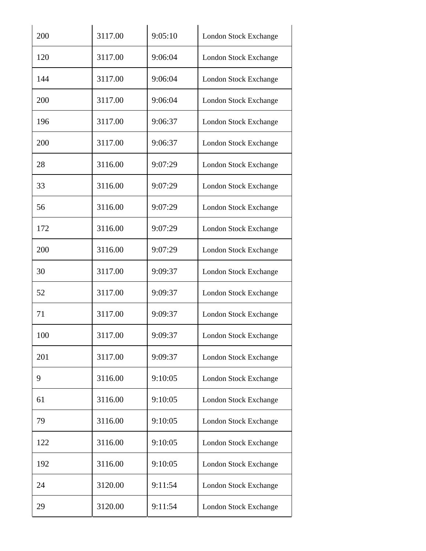| 200 | 3117.00 | 9:05:10 | <b>London Stock Exchange</b> |
|-----|---------|---------|------------------------------|
| 120 | 3117.00 | 9:06:04 | London Stock Exchange        |
| 144 | 3117.00 | 9:06:04 | <b>London Stock Exchange</b> |
| 200 | 3117.00 | 9:06:04 | <b>London Stock Exchange</b> |
| 196 | 3117.00 | 9:06:37 | <b>London Stock Exchange</b> |
| 200 | 3117.00 | 9:06:37 | London Stock Exchange        |
| 28  | 3116.00 | 9:07:29 | <b>London Stock Exchange</b> |
| 33  | 3116.00 | 9:07:29 | <b>London Stock Exchange</b> |
| 56  | 3116.00 | 9:07:29 | <b>London Stock Exchange</b> |
| 172 | 3116.00 | 9:07:29 | London Stock Exchange        |
| 200 | 3116.00 | 9:07:29 | <b>London Stock Exchange</b> |
| 30  | 3117.00 | 9:09:37 | <b>London Stock Exchange</b> |
| 52  | 3117.00 | 9:09:37 | <b>London Stock Exchange</b> |
| 71  | 3117.00 | 9:09:37 | <b>London Stock Exchange</b> |
| 100 | 3117.00 | 9:09:37 | London Stock Exchange        |
| 201 | 3117.00 | 9:09:37 | <b>London Stock Exchange</b> |
| 9   | 3116.00 | 9:10:05 | <b>London Stock Exchange</b> |
| 61  | 3116.00 | 9:10:05 | <b>London Stock Exchange</b> |
| 79  | 3116.00 | 9:10:05 | <b>London Stock Exchange</b> |
| 122 | 3116.00 | 9:10:05 | <b>London Stock Exchange</b> |
| 192 | 3116.00 | 9:10:05 | <b>London Stock Exchange</b> |
| 24  | 3120.00 | 9:11:54 | <b>London Stock Exchange</b> |
| 29  | 3120.00 | 9:11:54 | <b>London Stock Exchange</b> |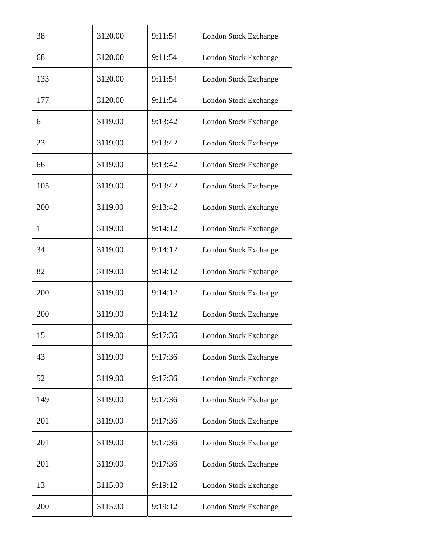| 38  | 3120.00 | 9:11:54 | <b>London Stock Exchange</b> |
|-----|---------|---------|------------------------------|
| 68  | 3120.00 | 9:11:54 | <b>London Stock Exchange</b> |
| 133 | 3120.00 | 9:11:54 | <b>London Stock Exchange</b> |
| 177 | 3120.00 | 9:11:54 | <b>London Stock Exchange</b> |
| 6   | 3119.00 | 9:13:42 | London Stock Exchange        |
| 23  | 3119.00 | 9:13:42 | <b>London Stock Exchange</b> |
| 66  | 3119.00 | 9:13:42 | <b>London Stock Exchange</b> |
| 105 | 3119.00 | 9:13:42 | <b>London Stock Exchange</b> |
| 200 | 3119.00 | 9:13:42 | <b>London Stock Exchange</b> |
| 1   | 3119.00 | 9:14:12 | <b>London Stock Exchange</b> |
| 34  | 3119.00 | 9:14:12 | <b>London Stock Exchange</b> |
| 82  | 3119.00 | 9:14:12 | <b>London Stock Exchange</b> |
| 200 | 3119.00 | 9:14:12 | <b>London Stock Exchange</b> |
| 200 | 3119.00 | 9:14:12 | <b>London Stock Exchange</b> |
| 15  | 3119.00 | 9:17:36 | London Stock Exchange        |
| 43  | 3119.00 | 9:17:36 | <b>London Stock Exchange</b> |
| 52  | 3119.00 | 9:17:36 | <b>London Stock Exchange</b> |
| 149 | 3119.00 | 9:17:36 | <b>London Stock Exchange</b> |
| 201 | 3119.00 | 9:17:36 | <b>London Stock Exchange</b> |
| 201 | 3119.00 | 9:17:36 | <b>London Stock Exchange</b> |
| 201 | 3119.00 | 9:17:36 | <b>London Stock Exchange</b> |
| 13  | 3115.00 | 9:19:12 | <b>London Stock Exchange</b> |
| 200 | 3115.00 | 9:19:12 | <b>London Stock Exchange</b> |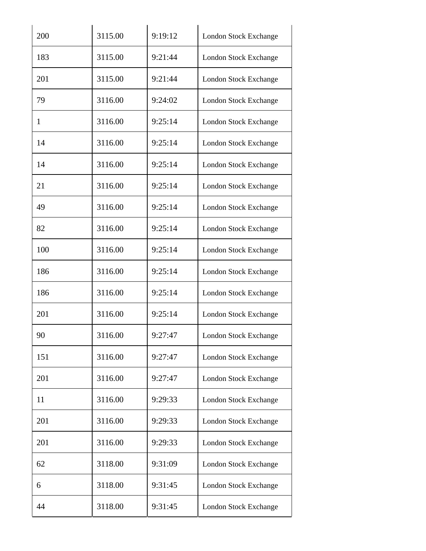| 200 | 3115.00 | 9:19:12 | <b>London Stock Exchange</b> |
|-----|---------|---------|------------------------------|
| 183 | 3115.00 | 9:21:44 | <b>London Stock Exchange</b> |
| 201 | 3115.00 | 9:21:44 | <b>London Stock Exchange</b> |
| 79  | 3116.00 | 9:24:02 | <b>London Stock Exchange</b> |
| 1   | 3116.00 | 9:25:14 | <b>London Stock Exchange</b> |
| 14  | 3116.00 | 9:25:14 | <b>London Stock Exchange</b> |
| 14  | 3116.00 | 9:25:14 | <b>London Stock Exchange</b> |
| 21  | 3116.00 | 9:25:14 | <b>London Stock Exchange</b> |
| 49  | 3116.00 | 9:25:14 | <b>London Stock Exchange</b> |
| 82  | 3116.00 | 9:25:14 | <b>London Stock Exchange</b> |
| 100 | 3116.00 | 9:25:14 | <b>London Stock Exchange</b> |
| 186 | 3116.00 | 9:25:14 | London Stock Exchange        |
| 186 | 3116.00 | 9:25:14 | <b>London Stock Exchange</b> |
| 201 | 3116.00 | 9:25:14 | <b>London Stock Exchange</b> |
| 90  | 3116.00 | 9:27:47 | <b>London Stock Exchange</b> |
| 151 | 3116.00 | 9:27:47 | <b>London Stock Exchange</b> |
| 201 | 3116.00 | 9:27:47 | <b>London Stock Exchange</b> |
| 11  | 3116.00 | 9:29:33 | <b>London Stock Exchange</b> |
| 201 | 3116.00 | 9:29:33 | <b>London Stock Exchange</b> |
| 201 | 3116.00 | 9:29:33 | <b>London Stock Exchange</b> |
| 62  | 3118.00 | 9:31:09 | <b>London Stock Exchange</b> |
| 6   | 3118.00 | 9:31:45 | <b>London Stock Exchange</b> |
| 44  | 3118.00 | 9:31:45 | <b>London Stock Exchange</b> |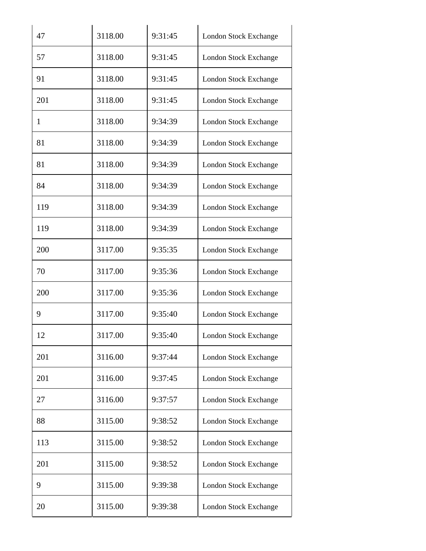| 47  | 3118.00 | 9:31:45 | <b>London Stock Exchange</b> |
|-----|---------|---------|------------------------------|
| 57  | 3118.00 | 9:31:45 | <b>London Stock Exchange</b> |
| 91  | 3118.00 | 9:31:45 | <b>London Stock Exchange</b> |
| 201 | 3118.00 | 9:31:45 | <b>London Stock Exchange</b> |
| 1   | 3118.00 | 9:34:39 | <b>London Stock Exchange</b> |
| 81  | 3118.00 | 9:34:39 | <b>London Stock Exchange</b> |
| 81  | 3118.00 | 9:34:39 | <b>London Stock Exchange</b> |
| 84  | 3118.00 | 9:34:39 | <b>London Stock Exchange</b> |
| 119 | 3118.00 | 9:34:39 | <b>London Stock Exchange</b> |
| 119 | 3118.00 | 9:34:39 | <b>London Stock Exchange</b> |
| 200 | 3117.00 | 9:35:35 | <b>London Stock Exchange</b> |
| 70  | 3117.00 | 9:35:36 | <b>London Stock Exchange</b> |
| 200 | 3117.00 | 9:35:36 | <b>London Stock Exchange</b> |
| 9   | 3117.00 | 9:35:40 | <b>London Stock Exchange</b> |
| 12  | 3117.00 | 9:35:40 | <b>London Stock Exchange</b> |
| 201 | 3116.00 | 9:37:44 | <b>London Stock Exchange</b> |
| 201 | 3116.00 | 9:37:45 | <b>London Stock Exchange</b> |
| 27  | 3116.00 | 9:37:57 | <b>London Stock Exchange</b> |
| 88  | 3115.00 | 9:38:52 | <b>London Stock Exchange</b> |
| 113 | 3115.00 | 9:38:52 | <b>London Stock Exchange</b> |
| 201 | 3115.00 | 9:38:52 | <b>London Stock Exchange</b> |
| 9   | 3115.00 | 9:39:38 | <b>London Stock Exchange</b> |
| 20  | 3115.00 | 9:39:38 | <b>London Stock Exchange</b> |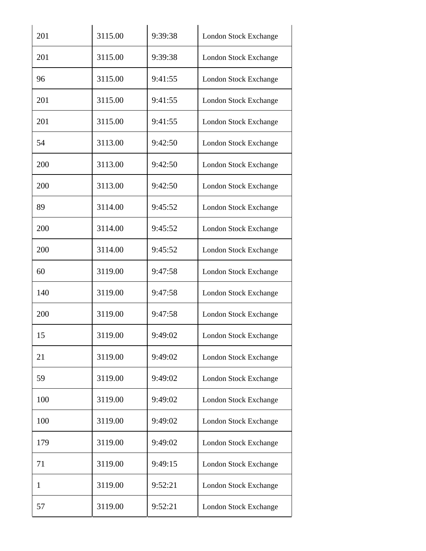| 201          | 3115.00 | 9:39:38 | <b>London Stock Exchange</b> |
|--------------|---------|---------|------------------------------|
| 201          | 3115.00 | 9:39:38 | <b>London Stock Exchange</b> |
| 96           | 3115.00 | 9:41:55 | <b>London Stock Exchange</b> |
| 201          | 3115.00 | 9:41:55 | <b>London Stock Exchange</b> |
| 201          | 3115.00 | 9:41:55 | London Stock Exchange        |
| 54           | 3113.00 | 9:42:50 | <b>London Stock Exchange</b> |
| 200          | 3113.00 | 9:42:50 | <b>London Stock Exchange</b> |
| 200          | 3113.00 | 9:42:50 | <b>London Stock Exchange</b> |
| 89           | 3114.00 | 9:45:52 | <b>London Stock Exchange</b> |
| 200          | 3114.00 | 9:45:52 | <b>London Stock Exchange</b> |
| 200          | 3114.00 | 9:45:52 | <b>London Stock Exchange</b> |
| 60           | 3119.00 | 9:47:58 | <b>London Stock Exchange</b> |
| 140          | 3119.00 | 9:47:58 | <b>London Stock Exchange</b> |
| 200          | 3119.00 | 9:47:58 | <b>London Stock Exchange</b> |
| 15           | 3119.00 | 9:49:02 | London Stock Exchange        |
| 21           | 3119.00 | 9:49:02 | <b>London Stock Exchange</b> |
| 59           | 3119.00 | 9:49:02 | <b>London Stock Exchange</b> |
| 100          | 3119.00 | 9:49:02 | <b>London Stock Exchange</b> |
| 100          | 3119.00 | 9:49:02 | <b>London Stock Exchange</b> |
| 179          | 3119.00 | 9:49:02 | <b>London Stock Exchange</b> |
| 71           | 3119.00 | 9:49:15 | <b>London Stock Exchange</b> |
| $\mathbf{1}$ | 3119.00 | 9:52:21 | <b>London Stock Exchange</b> |
| 57           | 3119.00 | 9:52:21 | <b>London Stock Exchange</b> |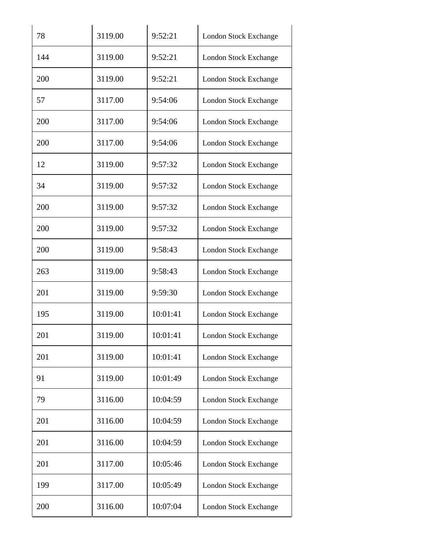| 78  | 3119.00 | 9:52:21  | <b>London Stock Exchange</b> |
|-----|---------|----------|------------------------------|
| 144 | 3119.00 | 9:52:21  | <b>London Stock Exchange</b> |
| 200 | 3119.00 | 9:52:21  | <b>London Stock Exchange</b> |
| 57  | 3117.00 | 9:54:06  | <b>London Stock Exchange</b> |
| 200 | 3117.00 | 9:54:06  | <b>London Stock Exchange</b> |
| 200 | 3117.00 | 9:54:06  | <b>London Stock Exchange</b> |
| 12  | 3119.00 | 9:57:32  | <b>London Stock Exchange</b> |
| 34  | 3119.00 | 9:57:32  | <b>London Stock Exchange</b> |
| 200 | 3119.00 | 9:57:32  | <b>London Stock Exchange</b> |
| 200 | 3119.00 | 9:57:32  | London Stock Exchange        |
| 200 | 3119.00 | 9:58:43  | <b>London Stock Exchange</b> |
| 263 | 3119.00 | 9:58:43  | London Stock Exchange        |
| 201 | 3119.00 | 9:59:30  | <b>London Stock Exchange</b> |
| 195 | 3119.00 | 10:01:41 | <b>London Stock Exchange</b> |
| 201 | 3119.00 | 10:01:41 | London Stock Exchange        |
| 201 | 3119.00 | 10:01:41 | <b>London Stock Exchange</b> |
| 91  | 3119.00 | 10:01:49 | <b>London Stock Exchange</b> |
| 79  | 3116.00 | 10:04:59 | <b>London Stock Exchange</b> |
| 201 | 3116.00 | 10:04:59 | <b>London Stock Exchange</b> |
| 201 | 3116.00 | 10:04:59 | London Stock Exchange        |
| 201 | 3117.00 | 10:05:46 | <b>London Stock Exchange</b> |
| 199 | 3117.00 | 10:05:49 | <b>London Stock Exchange</b> |
| 200 | 3116.00 | 10:07:04 | <b>London Stock Exchange</b> |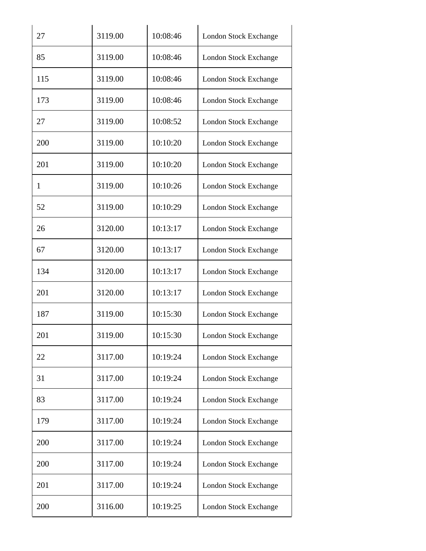| 27           | 3119.00 | 10:08:46 | London Stock Exchange        |
|--------------|---------|----------|------------------------------|
| 85           | 3119.00 | 10:08:46 | <b>London Stock Exchange</b> |
| 115          | 3119.00 | 10:08:46 | <b>London Stock Exchange</b> |
| 173          | 3119.00 | 10:08:46 | London Stock Exchange        |
| 27           | 3119.00 | 10:08:52 | <b>London Stock Exchange</b> |
| 200          | 3119.00 | 10:10:20 | <b>London Stock Exchange</b> |
| 201          | 3119.00 | 10:10:20 | <b>London Stock Exchange</b> |
| $\mathbf{1}$ | 3119.00 | 10:10:26 | <b>London Stock Exchange</b> |
| 52           | 3119.00 | 10:10:29 | <b>London Stock Exchange</b> |
| 26           | 3120.00 | 10:13:17 | <b>London Stock Exchange</b> |
| 67           | 3120.00 | 10:13:17 | <b>London Stock Exchange</b> |
| 134          | 3120.00 | 10:13:17 | London Stock Exchange        |
| 201          | 3120.00 | 10:13:17 | <b>London Stock Exchange</b> |
| 187          | 3119.00 | 10:15:30 | <b>London Stock Exchange</b> |
| 201          | 3119.00 | 10:15:30 | London Stock Exchange        |
| 22           | 3117.00 | 10:19:24 | <b>London Stock Exchange</b> |
| 31           | 3117.00 | 10:19:24 | London Stock Exchange        |
| 83           | 3117.00 | 10:19:24 | <b>London Stock Exchange</b> |
| 179          | 3117.00 | 10:19:24 | <b>London Stock Exchange</b> |
| 200          | 3117.00 | 10:19:24 | <b>London Stock Exchange</b> |
| 200          | 3117.00 | 10:19:24 | <b>London Stock Exchange</b> |
| 201          | 3117.00 | 10:19:24 | <b>London Stock Exchange</b> |
| 200          | 3116.00 | 10:19:25 | <b>London Stock Exchange</b> |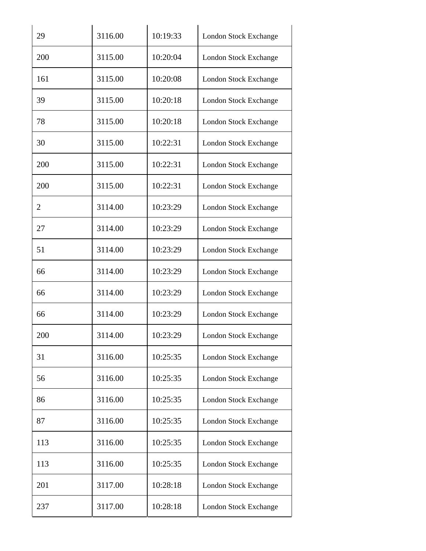| 29  | 3116.00 | 10:19:33 | <b>London Stock Exchange</b> |
|-----|---------|----------|------------------------------|
| 200 | 3115.00 | 10:20:04 | <b>London Stock Exchange</b> |
| 161 | 3115.00 | 10:20:08 | <b>London Stock Exchange</b> |
| 39  | 3115.00 | 10:20:18 | <b>London Stock Exchange</b> |
| 78  | 3115.00 | 10:20:18 | <b>London Stock Exchange</b> |
| 30  | 3115.00 | 10:22:31 | London Stock Exchange        |
| 200 | 3115.00 | 10:22:31 | London Stock Exchange        |
| 200 | 3115.00 | 10:22:31 | <b>London Stock Exchange</b> |
| 2   | 3114.00 | 10:23:29 | <b>London Stock Exchange</b> |
| 27  | 3114.00 | 10:23:29 | London Stock Exchange        |
| 51  | 3114.00 | 10:23:29 | <b>London Stock Exchange</b> |
| 66  | 3114.00 | 10:23:29 | London Stock Exchange        |
| 66  | 3114.00 | 10:23:29 | <b>London Stock Exchange</b> |
| 66  | 3114.00 | 10:23:29 | <b>London Stock Exchange</b> |
| 200 | 3114.00 | 10:23:29 | London Stock Exchange        |
| 31  | 3116.00 | 10:25:35 | <b>London Stock Exchange</b> |
| 56  | 3116.00 | 10:25:35 | <b>London Stock Exchange</b> |
| 86  | 3116.00 | 10:25:35 | <b>London Stock Exchange</b> |
| 87  | 3116.00 | 10:25:35 | <b>London Stock Exchange</b> |
| 113 | 3116.00 | 10:25:35 | <b>London Stock Exchange</b> |
| 113 | 3116.00 | 10:25:35 | <b>London Stock Exchange</b> |
| 201 | 3117.00 | 10:28:18 | <b>London Stock Exchange</b> |
| 237 | 3117.00 | 10:28:18 | <b>London Stock Exchange</b> |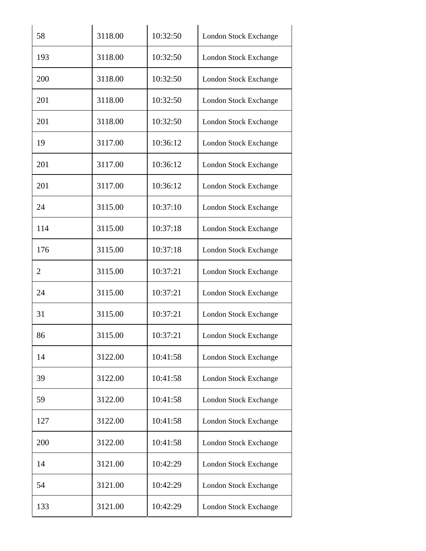| 58             | 3118.00 | 10:32:50 | London Stock Exchange        |
|----------------|---------|----------|------------------------------|
| 193            | 3118.00 | 10:32:50 | <b>London Stock Exchange</b> |
| 200            | 3118.00 | 10:32:50 | <b>London Stock Exchange</b> |
| 201            | 3118.00 | 10:32:50 | <b>London Stock Exchange</b> |
| 201            | 3118.00 | 10:32:50 | <b>London Stock Exchange</b> |
| 19             | 3117.00 | 10:36:12 | <b>London Stock Exchange</b> |
| 201            | 3117.00 | 10:36:12 | <b>London Stock Exchange</b> |
| 201            | 3117.00 | 10:36:12 | <b>London Stock Exchange</b> |
| 24             | 3115.00 | 10:37:10 | <b>London Stock Exchange</b> |
| 114            | 3115.00 | 10:37:18 | <b>London Stock Exchange</b> |
| 176            | 3115.00 | 10:37:18 | <b>London Stock Exchange</b> |
| $\overline{2}$ | 3115.00 | 10:37:21 | London Stock Exchange        |
| 24             | 3115.00 | 10:37:21 | <b>London Stock Exchange</b> |
| 31             | 3115.00 | 10:37:21 | <b>London Stock Exchange</b> |
| 86             | 3115.00 | 10:37:21 | <b>London Stock Exchange</b> |
| 14             | 3122.00 | 10:41:58 | <b>London Stock Exchange</b> |
| 39             | 3122.00 | 10:41:58 | <b>London Stock Exchange</b> |
| 59             | 3122.00 | 10:41:58 | <b>London Stock Exchange</b> |
| 127            | 3122.00 | 10:41:58 | <b>London Stock Exchange</b> |
| 200            | 3122.00 | 10:41:58 | <b>London Stock Exchange</b> |
| 14             | 3121.00 | 10:42:29 | <b>London Stock Exchange</b> |
| 54             | 3121.00 | 10:42:29 | <b>London Stock Exchange</b> |
| 133            | 3121.00 | 10:42:29 | <b>London Stock Exchange</b> |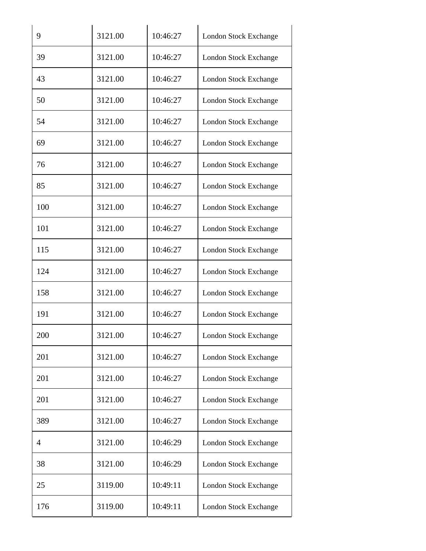| 9   | 3121.00 | 10:46:27 | <b>London Stock Exchange</b> |
|-----|---------|----------|------------------------------|
| 39  | 3121.00 | 10:46:27 | <b>London Stock Exchange</b> |
| 43  | 3121.00 | 10:46:27 | <b>London Stock Exchange</b> |
| 50  | 3121.00 | 10:46:27 | <b>London Stock Exchange</b> |
| 54  | 3121.00 | 10:46:27 | <b>London Stock Exchange</b> |
| 69  | 3121.00 | 10:46:27 | <b>London Stock Exchange</b> |
| 76  | 3121.00 | 10:46:27 | <b>London Stock Exchange</b> |
| 85  | 3121.00 | 10:46:27 | <b>London Stock Exchange</b> |
| 100 | 3121.00 | 10:46:27 | <b>London Stock Exchange</b> |
| 101 | 3121.00 | 10:46:27 | <b>London Stock Exchange</b> |
| 115 | 3121.00 | 10:46:27 | <b>London Stock Exchange</b> |
| 124 | 3121.00 | 10:46:27 | <b>London Stock Exchange</b> |
| 158 | 3121.00 | 10:46:27 | London Stock Exchange        |
| 191 | 3121.00 | 10:46:27 | <b>London Stock Exchange</b> |
| 200 | 3121.00 | 10:46:27 | <b>London Stock Exchange</b> |
| 201 | 3121.00 | 10:46:27 | <b>London Stock Exchange</b> |
| 201 | 3121.00 | 10:46:27 | <b>London Stock Exchange</b> |
| 201 | 3121.00 | 10:46:27 | London Stock Exchange        |
| 389 | 3121.00 | 10:46:27 | <b>London Stock Exchange</b> |
| 4   | 3121.00 | 10:46:29 | <b>London Stock Exchange</b> |
| 38  | 3121.00 | 10:46:29 | <b>London Stock Exchange</b> |
| 25  | 3119.00 | 10:49:11 | <b>London Stock Exchange</b> |
| 176 | 3119.00 | 10:49:11 | <b>London Stock Exchange</b> |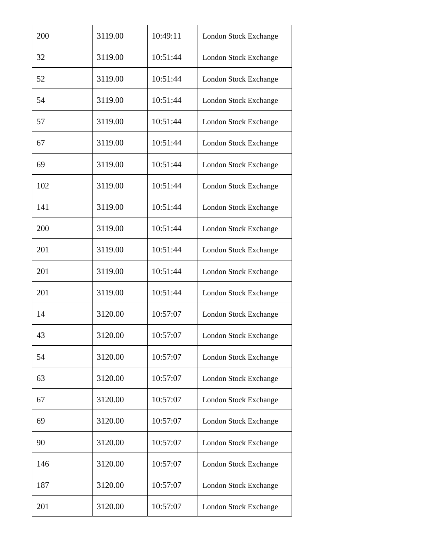| 200 | 3119.00 | 10:49:11 | <b>London Stock Exchange</b> |
|-----|---------|----------|------------------------------|
| 32  | 3119.00 | 10:51:44 | London Stock Exchange        |
| 52  | 3119.00 | 10:51:44 | <b>London Stock Exchange</b> |
| 54  | 3119.00 | 10:51:44 | <b>London Stock Exchange</b> |
| 57  | 3119.00 | 10:51:44 | <b>London Stock Exchange</b> |
| 67  | 3119.00 | 10:51:44 | <b>London Stock Exchange</b> |
| 69  | 3119.00 | 10:51:44 | <b>London Stock Exchange</b> |
| 102 | 3119.00 | 10:51:44 | <b>London Stock Exchange</b> |
| 141 | 3119.00 | 10:51:44 | <b>London Stock Exchange</b> |
| 200 | 3119.00 | 10:51:44 | London Stock Exchange        |
| 201 | 3119.00 | 10:51:44 | <b>London Stock Exchange</b> |
| 201 | 3119.00 | 10:51:44 | <b>London Stock Exchange</b> |
| 201 | 3119.00 | 10:51:44 | <b>London Stock Exchange</b> |
| 14  | 3120.00 | 10:57:07 | <b>London Stock Exchange</b> |
| 43  | 3120.00 | 10:57:07 | London Stock Exchange        |
| 54  | 3120.00 | 10:57:07 | <b>London Stock Exchange</b> |
| 63  | 3120.00 | 10:57:07 | <b>London Stock Exchange</b> |
| 67  | 3120.00 | 10:57:07 | <b>London Stock Exchange</b> |
| 69  | 3120.00 | 10:57:07 | <b>London Stock Exchange</b> |
| 90  | 3120.00 | 10:57:07 | <b>London Stock Exchange</b> |
| 146 | 3120.00 | 10:57:07 | <b>London Stock Exchange</b> |
| 187 | 3120.00 | 10:57:07 | <b>London Stock Exchange</b> |
| 201 | 3120.00 | 10:57:07 | <b>London Stock Exchange</b> |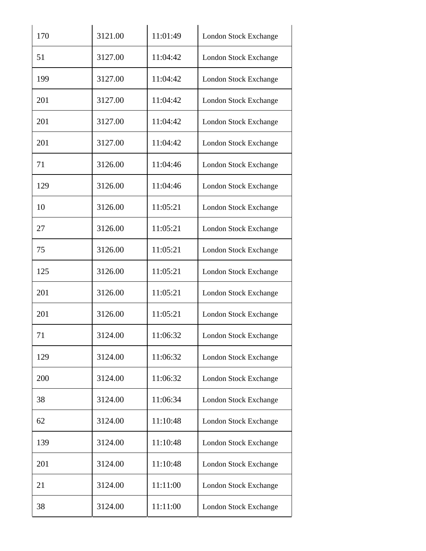| 170 | 3121.00 | 11:01:49 | <b>London Stock Exchange</b> |
|-----|---------|----------|------------------------------|
| 51  | 3127.00 | 11:04:42 | <b>London Stock Exchange</b> |
| 199 | 3127.00 | 11:04:42 | <b>London Stock Exchange</b> |
| 201 | 3127.00 | 11:04:42 | <b>London Stock Exchange</b> |
| 201 | 3127.00 | 11:04:42 | <b>London Stock Exchange</b> |
| 201 | 3127.00 | 11:04:42 | <b>London Stock Exchange</b> |
| 71  | 3126.00 | 11:04:46 | <b>London Stock Exchange</b> |
| 129 | 3126.00 | 11:04:46 | <b>London Stock Exchange</b> |
| 10  | 3126.00 | 11:05:21 | <b>London Stock Exchange</b> |
| 27  | 3126.00 | 11:05:21 | <b>London Stock Exchange</b> |
| 75  | 3126.00 | 11:05:21 | <b>London Stock Exchange</b> |
| 125 | 3126.00 | 11:05:21 | <b>London Stock Exchange</b> |
| 201 | 3126.00 | 11:05:21 | <b>London Stock Exchange</b> |
| 201 | 3126.00 | 11:05:21 | <b>London Stock Exchange</b> |
| 71  | 3124.00 | 11:06:32 | <b>London Stock Exchange</b> |
| 129 | 3124.00 | 11:06:32 | <b>London Stock Exchange</b> |
| 200 | 3124.00 | 11:06:32 | London Stock Exchange        |
| 38  | 3124.00 | 11:06:34 | <b>London Stock Exchange</b> |
| 62  | 3124.00 | 11:10:48 | <b>London Stock Exchange</b> |
| 139 | 3124.00 | 11:10:48 | <b>London Stock Exchange</b> |
| 201 | 3124.00 | 11:10:48 | <b>London Stock Exchange</b> |
| 21  | 3124.00 | 11:11:00 | <b>London Stock Exchange</b> |
| 38  | 3124.00 | 11:11:00 | <b>London Stock Exchange</b> |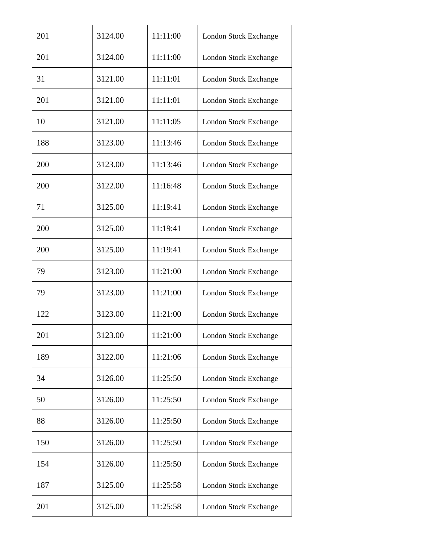| 3124.00 | 11:11:00 | <b>London Stock Exchange</b> |
|---------|----------|------------------------------|
| 3124.00 | 11:11:00 | <b>London Stock Exchange</b> |
| 3121.00 | 11:11:01 | <b>London Stock Exchange</b> |
| 3121.00 | 11:11:01 | <b>London Stock Exchange</b> |
| 3121.00 | 11:11:05 | <b>London Stock Exchange</b> |
| 3123.00 | 11:13:46 | <b>London Stock Exchange</b> |
| 3123.00 | 11:13:46 | <b>London Stock Exchange</b> |
| 3122.00 | 11:16:48 | <b>London Stock Exchange</b> |
| 3125.00 | 11:19:41 | <b>London Stock Exchange</b> |
| 3125.00 | 11:19:41 | <b>London Stock Exchange</b> |
| 3125.00 | 11:19:41 | <b>London Stock Exchange</b> |
| 3123.00 | 11:21:00 | <b>London Stock Exchange</b> |
| 3123.00 | 11:21:00 | <b>London Stock Exchange</b> |
| 3123.00 | 11:21:00 | <b>London Stock Exchange</b> |
| 3123.00 | 11:21:00 | London Stock Exchange        |
| 3122.00 | 11:21:06 | <b>London Stock Exchange</b> |
| 3126.00 | 11:25:50 | London Stock Exchange        |
| 3126.00 | 11:25:50 | <b>London Stock Exchange</b> |
| 3126.00 | 11:25:50 | <b>London Stock Exchange</b> |
| 3126.00 | 11:25:50 | <b>London Stock Exchange</b> |
| 3126.00 | 11:25:50 | <b>London Stock Exchange</b> |
| 3125.00 | 11:25:58 | <b>London Stock Exchange</b> |
| 3125.00 | 11:25:58 | <b>London Stock Exchange</b> |
|         |          |                              |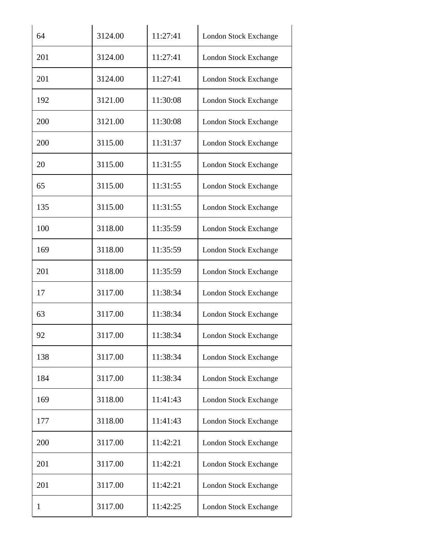| 64           | 3124.00 | 11:27:41 | <b>London Stock Exchange</b> |
|--------------|---------|----------|------------------------------|
| 201          | 3124.00 | 11:27:41 | <b>London Stock Exchange</b> |
| 201          | 3124.00 | 11:27:41 | <b>London Stock Exchange</b> |
| 192          | 3121.00 | 11:30:08 | <b>London Stock Exchange</b> |
| 200          | 3121.00 | 11:30:08 | <b>London Stock Exchange</b> |
| 200          | 3115.00 | 11:31:37 | <b>London Stock Exchange</b> |
| 20           | 3115.00 | 11:31:55 | <b>London Stock Exchange</b> |
| 65           | 3115.00 | 11:31:55 | <b>London Stock Exchange</b> |
| 135          | 3115.00 | 11:31:55 | <b>London Stock Exchange</b> |
| 100          | 3118.00 | 11:35:59 | <b>London Stock Exchange</b> |
| 169          | 3118.00 | 11:35:59 | <b>London Stock Exchange</b> |
| 201          | 3118.00 | 11:35:59 | London Stock Exchange        |
| 17           | 3117.00 | 11:38:34 | <b>London Stock Exchange</b> |
| 63           | 3117.00 | 11:38:34 | <b>London Stock Exchange</b> |
| 92           | 3117.00 | 11:38:34 | <b>London Stock Exchange</b> |
| 138          | 3117.00 | 11:38:34 | London Stock Exchange        |
| 184          | 3117.00 | 11:38:34 | <b>London Stock Exchange</b> |
| 169          | 3118.00 | 11:41:43 | <b>London Stock Exchange</b> |
| 177          | 3118.00 | 11:41:43 | <b>London Stock Exchange</b> |
| 200          | 3117.00 | 11:42:21 | <b>London Stock Exchange</b> |
| 201          | 3117.00 | 11:42:21 | <b>London Stock Exchange</b> |
| 201          | 3117.00 | 11:42:21 | <b>London Stock Exchange</b> |
| $\mathbf{1}$ | 3117.00 | 11:42:25 | <b>London Stock Exchange</b> |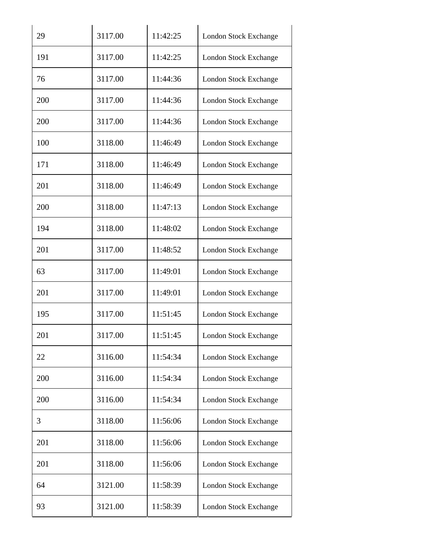| 29  | 3117.00 | 11:42:25 | <b>London Stock Exchange</b> |
|-----|---------|----------|------------------------------|
| 191 | 3117.00 | 11:42:25 | <b>London Stock Exchange</b> |
| 76  | 3117.00 | 11:44:36 | <b>London Stock Exchange</b> |
| 200 | 3117.00 | 11:44:36 | London Stock Exchange        |
| 200 | 3117.00 | 11:44:36 | <b>London Stock Exchange</b> |
| 100 | 3118.00 | 11:46:49 | <b>London Stock Exchange</b> |
| 171 | 3118.00 | 11:46:49 | <b>London Stock Exchange</b> |
| 201 | 3118.00 | 11:46:49 | <b>London Stock Exchange</b> |
| 200 | 3118.00 | 11:47:13 | <b>London Stock Exchange</b> |
| 194 | 3118.00 | 11:48:02 | <b>London Stock Exchange</b> |
| 201 | 3117.00 | 11:48:52 | <b>London Stock Exchange</b> |
| 63  | 3117.00 | 11:49:01 | <b>London Stock Exchange</b> |
| 201 | 3117.00 | 11:49:01 | <b>London Stock Exchange</b> |
| 195 | 3117.00 | 11:51:45 | <b>London Stock Exchange</b> |
| 201 | 3117.00 | 11:51:45 | <b>London Stock Exchange</b> |
| 22  | 3116.00 | 11:54:34 | <b>London Stock Exchange</b> |
| 200 | 3116.00 | 11:54:34 | <b>London Stock Exchange</b> |
| 200 | 3116.00 | 11:54:34 | <b>London Stock Exchange</b> |
| 3   | 3118.00 | 11:56:06 | <b>London Stock Exchange</b> |
| 201 | 3118.00 | 11:56:06 | <b>London Stock Exchange</b> |
| 201 | 3118.00 | 11:56:06 | <b>London Stock Exchange</b> |
| 64  | 3121.00 | 11:58:39 | <b>London Stock Exchange</b> |
| 93  | 3121.00 | 11:58:39 | <b>London Stock Exchange</b> |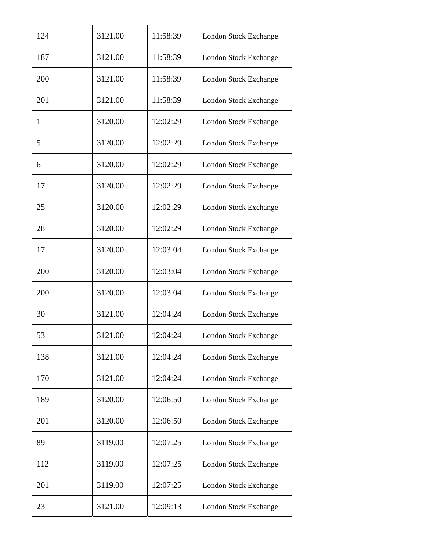| 124          | 3121.00 | 11:58:39 | <b>London Stock Exchange</b> |
|--------------|---------|----------|------------------------------|
| 187          | 3121.00 | 11:58:39 | London Stock Exchange        |
| 200          | 3121.00 | 11:58:39 | <b>London Stock Exchange</b> |
| 201          | 3121.00 | 11:58:39 | <b>London Stock Exchange</b> |
| $\mathbf{1}$ | 3120.00 | 12:02:29 | <b>London Stock Exchange</b> |
| 5            | 3120.00 | 12:02:29 | <b>London Stock Exchange</b> |
| 6            | 3120.00 | 12:02:29 | <b>London Stock Exchange</b> |
| 17           | 3120.00 | 12:02:29 | <b>London Stock Exchange</b> |
| 25           | 3120.00 | 12:02:29 | <b>London Stock Exchange</b> |
| 28           | 3120.00 | 12:02:29 | <b>London Stock Exchange</b> |
| 17           | 3120.00 | 12:03:04 | <b>London Stock Exchange</b> |
| 200          | 3120.00 | 12:03:04 | <b>London Stock Exchange</b> |
| 200          | 3120.00 | 12:03:04 | <b>London Stock Exchange</b> |
| 30           | 3121.00 | 12:04:24 | <b>London Stock Exchange</b> |
| 53           | 3121.00 | 12:04:24 | London Stock Exchange        |
| 138          | 3121.00 | 12:04:24 | <b>London Stock Exchange</b> |
| 170          | 3121.00 | 12:04:24 | <b>London Stock Exchange</b> |
| 189          | 3120.00 | 12:06:50 | <b>London Stock Exchange</b> |
| 201          | 3120.00 | 12:06:50 | <b>London Stock Exchange</b> |
| 89           | 3119.00 | 12:07:25 | <b>London Stock Exchange</b> |
| 112          | 3119.00 | 12:07:25 | <b>London Stock Exchange</b> |
| 201          | 3119.00 | 12:07:25 | <b>London Stock Exchange</b> |
| 23           | 3121.00 | 12:09:13 | <b>London Stock Exchange</b> |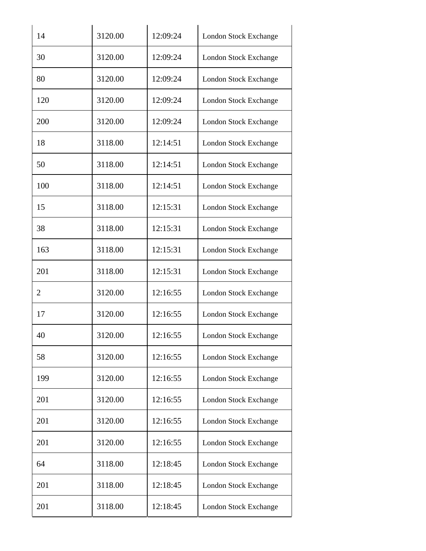| 14  | 3120.00 | 12:09:24 | London Stock Exchange        |
|-----|---------|----------|------------------------------|
| 30  | 3120.00 | 12:09:24 | <b>London Stock Exchange</b> |
| 80  | 3120.00 | 12:09:24 | <b>London Stock Exchange</b> |
| 120 | 3120.00 | 12:09:24 | <b>London Stock Exchange</b> |
| 200 | 3120.00 | 12:09:24 | <b>London Stock Exchange</b> |
| 18  | 3118.00 | 12:14:51 | <b>London Stock Exchange</b> |
| 50  | 3118.00 | 12:14:51 | <b>London Stock Exchange</b> |
| 100 | 3118.00 | 12:14:51 | <b>London Stock Exchange</b> |
| 15  | 3118.00 | 12:15:31 | <b>London Stock Exchange</b> |
| 38  | 3118.00 | 12:15:31 | <b>London Stock Exchange</b> |
| 163 | 3118.00 | 12:15:31 | <b>London Stock Exchange</b> |
| 201 | 3118.00 | 12:15:31 | London Stock Exchange        |
| 2   | 3120.00 | 12:16:55 | <b>London Stock Exchange</b> |
| 17  | 3120.00 | 12:16:55 | <b>London Stock Exchange</b> |
| 40  | 3120.00 | 12:16:55 | London Stock Exchange        |
| 58  | 3120.00 | 12:16:55 | <b>London Stock Exchange</b> |
| 199 | 3120.00 | 12:16:55 | <b>London Stock Exchange</b> |
| 201 | 3120.00 | 12:16:55 | <b>London Stock Exchange</b> |
| 201 | 3120.00 | 12:16:55 | <b>London Stock Exchange</b> |
| 201 | 3120.00 | 12:16:55 | <b>London Stock Exchange</b> |
| 64  | 3118.00 | 12:18:45 | <b>London Stock Exchange</b> |
| 201 | 3118.00 | 12:18:45 | <b>London Stock Exchange</b> |
| 201 | 3118.00 | 12:18:45 | <b>London Stock Exchange</b> |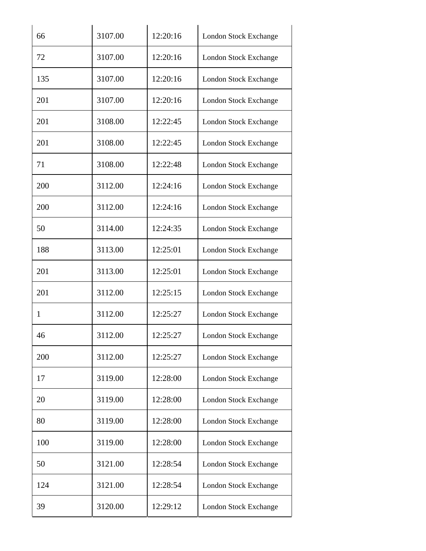| 66           | 3107.00 | 12:20:16 | <b>London Stock Exchange</b> |
|--------------|---------|----------|------------------------------|
| 72           | 3107.00 | 12:20:16 | <b>London Stock Exchange</b> |
| 135          | 3107.00 | 12:20:16 | <b>London Stock Exchange</b> |
| 201          | 3107.00 | 12:20:16 | <b>London Stock Exchange</b> |
| 201          | 3108.00 | 12:22:45 | <b>London Stock Exchange</b> |
| 201          | 3108.00 | 12:22:45 | London Stock Exchange        |
| 71           | 3108.00 | 12:22:48 | <b>London Stock Exchange</b> |
| 200          | 3112.00 | 12:24:16 | <b>London Stock Exchange</b> |
| 200          | 3112.00 | 12:24:16 | <b>London Stock Exchange</b> |
| 50           | 3114.00 | 12:24:35 | London Stock Exchange        |
| 188          | 3113.00 | 12:25:01 | <b>London Stock Exchange</b> |
| 201          | 3113.00 | 12:25:01 | London Stock Exchange        |
| 201          | 3112.00 | 12:25:15 | <b>London Stock Exchange</b> |
| $\mathbf{1}$ | 3112.00 | 12:25:27 | <b>London Stock Exchange</b> |
| 46           | 3112.00 | 12:25:27 | London Stock Exchange        |
| 200          | 3112.00 | 12:25:27 | <b>London Stock Exchange</b> |
| 17           | 3119.00 | 12:28:00 | <b>London Stock Exchange</b> |
| 20           | 3119.00 | 12:28:00 | <b>London Stock Exchange</b> |
| 80           | 3119.00 | 12:28:00 | <b>London Stock Exchange</b> |
| 100          | 3119.00 | 12:28:00 | London Stock Exchange        |
| 50           | 3121.00 | 12:28:54 | <b>London Stock Exchange</b> |
| 124          | 3121.00 | 12:28:54 | <b>London Stock Exchange</b> |
| 39           | 3120.00 | 12:29:12 | <b>London Stock Exchange</b> |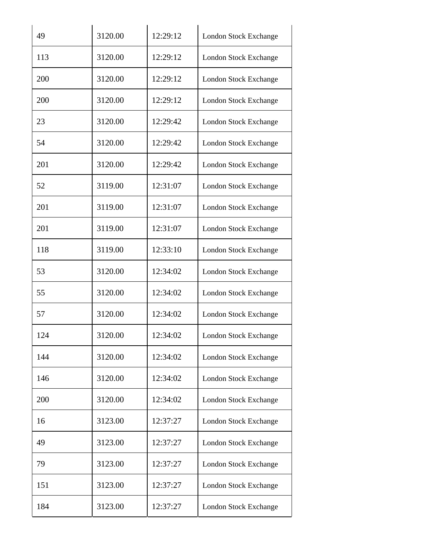| 49  | 3120.00 | 12:29:12 | <b>London Stock Exchange</b> |
|-----|---------|----------|------------------------------|
| 113 | 3120.00 | 12:29:12 | <b>London Stock Exchange</b> |
| 200 | 3120.00 | 12:29:12 | <b>London Stock Exchange</b> |
| 200 | 3120.00 | 12:29:12 | <b>London Stock Exchange</b> |
| 23  | 3120.00 | 12:29:42 | <b>London Stock Exchange</b> |
| 54  | 3120.00 | 12:29:42 | <b>London Stock Exchange</b> |
| 201 | 3120.00 | 12:29:42 | <b>London Stock Exchange</b> |
| 52  | 3119.00 | 12:31:07 | <b>London Stock Exchange</b> |
| 201 | 3119.00 | 12:31:07 | <b>London Stock Exchange</b> |
| 201 | 3119.00 | 12:31:07 | London Stock Exchange        |
| 118 | 3119.00 | 12:33:10 | <b>London Stock Exchange</b> |
| 53  | 3120.00 | 12:34:02 | <b>London Stock Exchange</b> |
| 55  | 3120.00 | 12:34:02 | <b>London Stock Exchange</b> |
| 57  | 3120.00 | 12:34:02 | <b>London Stock Exchange</b> |
| 124 | 3120.00 | 12:34:02 | <b>London Stock Exchange</b> |
| 144 | 3120.00 | 12:34:02 | <b>London Stock Exchange</b> |
| 146 | 3120.00 | 12:34:02 | <b>London Stock Exchange</b> |
| 200 | 3120.00 | 12:34:02 | <b>London Stock Exchange</b> |
| 16  | 3123.00 | 12:37:27 | <b>London Stock Exchange</b> |
| 49  | 3123.00 | 12:37:27 | <b>London Stock Exchange</b> |
| 79  | 3123.00 | 12:37:27 | <b>London Stock Exchange</b> |
| 151 | 3123.00 | 12:37:27 | <b>London Stock Exchange</b> |
| 184 | 3123.00 | 12:37:27 | <b>London Stock Exchange</b> |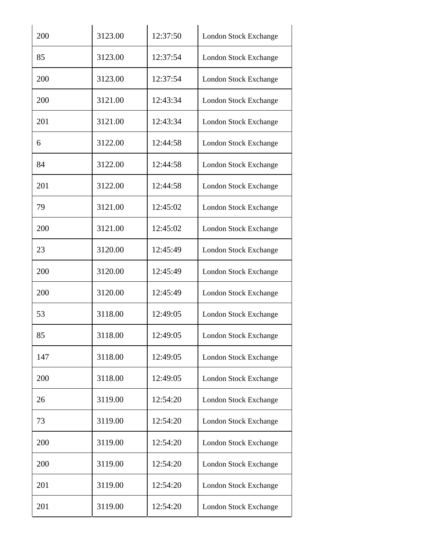| 200 | 3123.00 | 12:37:50 | <b>London Stock Exchange</b> |
|-----|---------|----------|------------------------------|
| 85  | 3123.00 | 12:37:54 | <b>London Stock Exchange</b> |
| 200 | 3123.00 | 12:37:54 | <b>London Stock Exchange</b> |
| 200 | 3121.00 | 12:43:34 | <b>London Stock Exchange</b> |
| 201 | 3121.00 | 12:43:34 | <b>London Stock Exchange</b> |
| 6   | 3122.00 | 12:44:58 | <b>London Stock Exchange</b> |
| 84  | 3122.00 | 12:44:58 | <b>London Stock Exchange</b> |
| 201 | 3122.00 | 12:44:58 | <b>London Stock Exchange</b> |
| 79  | 3121.00 | 12:45:02 | <b>London Stock Exchange</b> |
| 200 | 3121.00 | 12:45:02 | <b>London Stock Exchange</b> |
| 23  | 3120.00 | 12:45:49 | London Stock Exchange        |
| 200 | 3120.00 | 12:45:49 | London Stock Exchange        |
| 200 | 3120.00 | 12:45:49 | <b>London Stock Exchange</b> |
| 53  | 3118.00 | 12:49:05 | <b>London Stock Exchange</b> |
| 85  | 3118.00 | 12:49:05 | <b>London Stock Exchange</b> |
| 147 | 3118.00 | 12:49:05 | <b>London Stock Exchange</b> |
| 200 | 3118.00 | 12:49:05 | <b>London Stock Exchange</b> |
| 26  | 3119.00 | 12:54:20 | <b>London Stock Exchange</b> |
| 73  | 3119.00 | 12:54:20 | <b>London Stock Exchange</b> |
| 200 | 3119.00 | 12:54:20 | <b>London Stock Exchange</b> |
| 200 | 3119.00 | 12:54:20 | <b>London Stock Exchange</b> |
| 201 | 3119.00 | 12:54:20 | <b>London Stock Exchange</b> |
| 201 | 3119.00 | 12:54:20 | <b>London Stock Exchange</b> |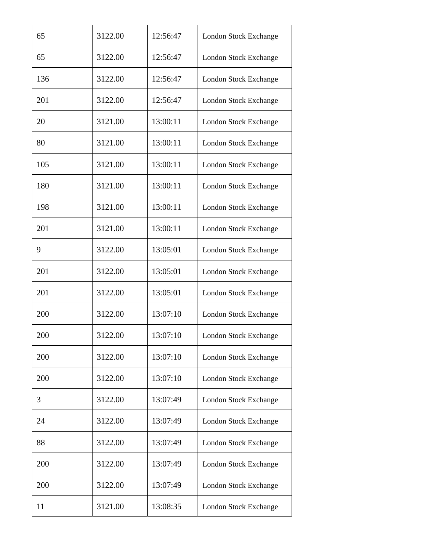| 65  | 3122.00 | 12:56:47 | London Stock Exchange        |
|-----|---------|----------|------------------------------|
| 65  | 3122.00 | 12:56:47 | <b>London Stock Exchange</b> |
| 136 | 3122.00 | 12:56:47 | <b>London Stock Exchange</b> |
| 201 | 3122.00 | 12:56:47 | <b>London Stock Exchange</b> |
| 20  | 3121.00 | 13:00:11 | <b>London Stock Exchange</b> |
| 80  | 3121.00 | 13:00:11 | <b>London Stock Exchange</b> |
| 105 | 3121.00 | 13:00:11 | <b>London Stock Exchange</b> |
| 180 | 3121.00 | 13:00:11 | <b>London Stock Exchange</b> |
| 198 | 3121.00 | 13:00:11 | <b>London Stock Exchange</b> |
| 201 | 3121.00 | 13:00:11 | <b>London Stock Exchange</b> |
| 9   | 3122.00 | 13:05:01 | <b>London Stock Exchange</b> |
| 201 | 3122.00 | 13:05:01 | London Stock Exchange        |
| 201 | 3122.00 | 13:05:01 | <b>London Stock Exchange</b> |
| 200 | 3122.00 | 13:07:10 | <b>London Stock Exchange</b> |
| 200 | 3122.00 | 13:07:10 | <b>London Stock Exchange</b> |
| 200 | 3122.00 | 13:07:10 | <b>London Stock Exchange</b> |
| 200 | 3122.00 | 13:07:10 | <b>London Stock Exchange</b> |
| 3   | 3122.00 | 13:07:49 | London Stock Exchange        |
| 24  | 3122.00 | 13:07:49 | <b>London Stock Exchange</b> |
| 88  | 3122.00 | 13:07:49 | <b>London Stock Exchange</b> |
| 200 | 3122.00 | 13:07:49 | <b>London Stock Exchange</b> |
| 200 | 3122.00 | 13:07:49 | <b>London Stock Exchange</b> |
| 11  | 3121.00 | 13:08:35 | <b>London Stock Exchange</b> |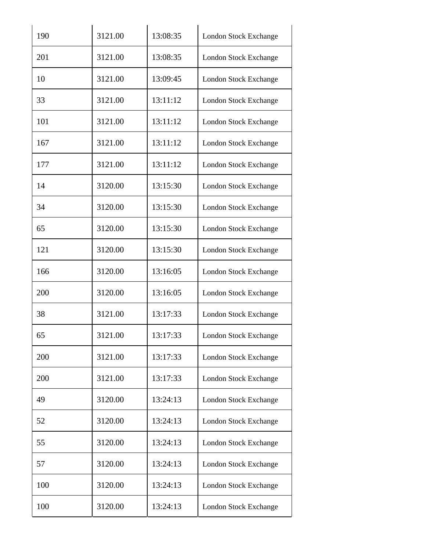| 190 | 3121.00 | 13:08:35 | <b>London Stock Exchange</b> |
|-----|---------|----------|------------------------------|
| 201 | 3121.00 | 13:08:35 | <b>London Stock Exchange</b> |
| 10  | 3121.00 | 13:09:45 | <b>London Stock Exchange</b> |
| 33  | 3121.00 | 13:11:12 | <b>London Stock Exchange</b> |
| 101 | 3121.00 | 13:11:12 | <b>London Stock Exchange</b> |
| 167 | 3121.00 | 13:11:12 | <b>London Stock Exchange</b> |
| 177 | 3121.00 | 13:11:12 | <b>London Stock Exchange</b> |
| 14  | 3120.00 | 13:15:30 | <b>London Stock Exchange</b> |
| 34  | 3120.00 | 13:15:30 | <b>London Stock Exchange</b> |
| 65  | 3120.00 | 13:15:30 | <b>London Stock Exchange</b> |
| 121 | 3120.00 | 13:15:30 | <b>London Stock Exchange</b> |
| 166 | 3120.00 | 13:16:05 | London Stock Exchange        |
| 200 | 3120.00 | 13:16:05 | <b>London Stock Exchange</b> |
| 38  | 3121.00 | 13:17:33 | <b>London Stock Exchange</b> |
| 65  | 3121.00 | 13:17:33 | <b>London Stock Exchange</b> |
| 200 | 3121.00 | 13:17:33 | <b>London Stock Exchange</b> |
| 200 | 3121.00 | 13:17:33 | <b>London Stock Exchange</b> |
| 49  | 3120.00 | 13:24:13 | <b>London Stock Exchange</b> |
| 52  | 3120.00 | 13:24:13 | <b>London Stock Exchange</b> |
| 55  | 3120.00 | 13:24:13 | <b>London Stock Exchange</b> |
| 57  | 3120.00 | 13:24:13 | <b>London Stock Exchange</b> |
| 100 | 3120.00 | 13:24:13 | <b>London Stock Exchange</b> |
| 100 | 3120.00 | 13:24:13 | <b>London Stock Exchange</b> |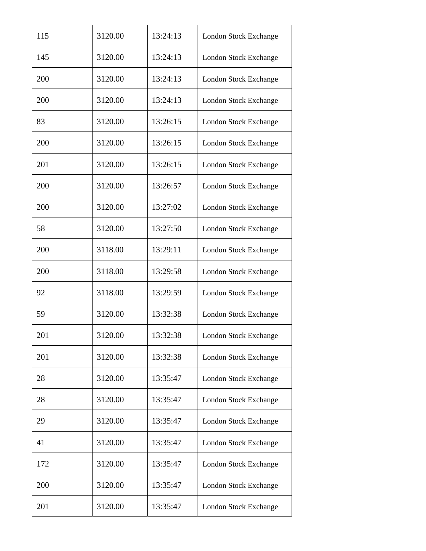| 115 | 3120.00 | 13:24:13 | <b>London Stock Exchange</b> |
|-----|---------|----------|------------------------------|
| 145 | 3120.00 | 13:24:13 | London Stock Exchange        |
| 200 | 3120.00 | 13:24:13 | <b>London Stock Exchange</b> |
| 200 | 3120.00 | 13:24:13 | <b>London Stock Exchange</b> |
| 83  | 3120.00 | 13:26:15 | <b>London Stock Exchange</b> |
| 200 | 3120.00 | 13:26:15 | London Stock Exchange        |
| 201 | 3120.00 | 13:26:15 | London Stock Exchange        |
| 200 | 3120.00 | 13:26:57 | <b>London Stock Exchange</b> |
| 200 | 3120.00 | 13:27:02 | <b>London Stock Exchange</b> |
| 58  | 3120.00 | 13:27:50 | London Stock Exchange        |
| 200 | 3118.00 | 13:29:11 | <b>London Stock Exchange</b> |
| 200 | 3118.00 | 13:29:58 | <b>London Stock Exchange</b> |
| 92  | 3118.00 | 13:29:59 | <b>London Stock Exchange</b> |
| 59  | 3120.00 | 13:32:38 | <b>London Stock Exchange</b> |
| 201 | 3120.00 | 13:32:38 | <b>London Stock Exchange</b> |
| 201 | 3120.00 | 13:32:38 | London Stock Exchange        |
| 28  | 3120.00 | 13:35:47 | <b>London Stock Exchange</b> |
| 28  | 3120.00 | 13:35:47 | <b>London Stock Exchange</b> |
| 29  | 3120.00 | 13:35:47 | <b>London Stock Exchange</b> |
| 41  | 3120.00 | 13:35:47 | <b>London Stock Exchange</b> |
| 172 | 3120.00 | 13:35:47 | <b>London Stock Exchange</b> |
| 200 | 3120.00 | 13:35:47 | <b>London Stock Exchange</b> |
| 201 | 3120.00 | 13:35:47 | <b>London Stock Exchange</b> |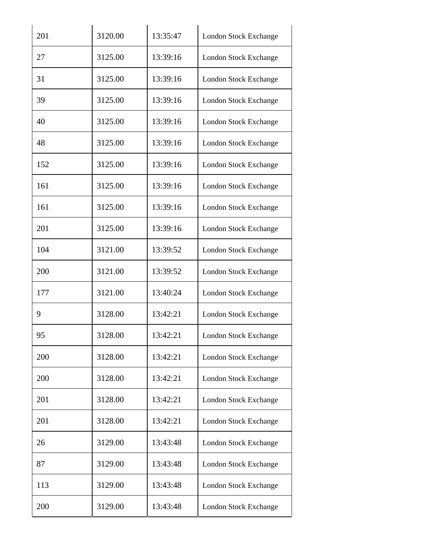| 201 | 3120.00 | 13:35:47 | London Stock Exchange        |
|-----|---------|----------|------------------------------|
| 27  | 3125.00 | 13:39:16 | <b>London Stock Exchange</b> |
| 31  | 3125.00 | 13:39:16 | <b>London Stock Exchange</b> |
| 39  | 3125.00 | 13:39:16 | <b>London Stock Exchange</b> |
| 40  | 3125.00 | 13:39:16 | London Stock Exchange        |
| 48  | 3125.00 | 13:39:16 | <b>London Stock Exchange</b> |
| 152 | 3125.00 | 13:39:16 | <b>London Stock Exchange</b> |
| 161 | 3125.00 | 13:39:16 | <b>London Stock Exchange</b> |
| 161 | 3125.00 | 13:39:16 | <b>London Stock Exchange</b> |
| 201 | 3125.00 | 13:39:16 | <b>London Stock Exchange</b> |
| 104 | 3121.00 | 13:39:52 | <b>London Stock Exchange</b> |
| 200 | 3121.00 | 13:39:52 | London Stock Exchange        |
| 177 | 3121.00 | 13:40:24 | <b>London Stock Exchange</b> |
| 9   | 3128.00 | 13:42:21 | <b>London Stock Exchange</b> |
| 95  | 3128.00 | 13:42:21 | <b>London Stock Exchange</b> |
| 200 | 3128.00 | 13:42:21 | <b>London Stock Exchange</b> |
| 200 | 3128.00 | 13:42:21 | <b>London Stock Exchange</b> |
| 201 | 3128.00 | 13:42:21 | <b>London Stock Exchange</b> |
| 201 | 3128.00 | 13:42:21 | <b>London Stock Exchange</b> |
| 26  | 3129.00 | 13:43:48 | <b>London Stock Exchange</b> |
| 87  | 3129.00 | 13:43:48 | <b>London Stock Exchange</b> |
| 113 | 3129.00 | 13:43:48 | <b>London Stock Exchange</b> |
| 200 | 3129.00 | 13:43:48 | <b>London Stock Exchange</b> |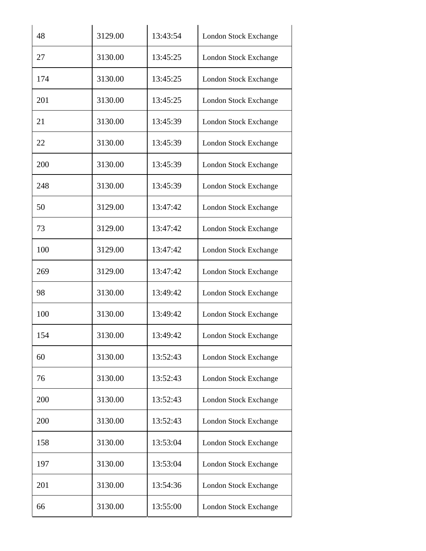| 48  | 3129.00 | 13:43:54 | London Stock Exchange        |
|-----|---------|----------|------------------------------|
| 27  | 3130.00 | 13:45:25 | <b>London Stock Exchange</b> |
| 174 | 3130.00 | 13:45:25 | <b>London Stock Exchange</b> |
| 201 | 3130.00 | 13:45:25 | <b>London Stock Exchange</b> |
| 21  | 3130.00 | 13:45:39 | <b>London Stock Exchange</b> |
| 22  | 3130.00 | 13:45:39 | <b>London Stock Exchange</b> |
| 200 | 3130.00 | 13:45:39 | <b>London Stock Exchange</b> |
| 248 | 3130.00 | 13:45:39 | <b>London Stock Exchange</b> |
| 50  | 3129.00 | 13:47:42 | <b>London Stock Exchange</b> |
| 73  | 3129.00 | 13:47:42 | <b>London Stock Exchange</b> |
| 100 | 3129.00 | 13:47:42 | <b>London Stock Exchange</b> |
| 269 | 3129.00 | 13:47:42 | London Stock Exchange        |
| 98  | 3130.00 | 13:49:42 | <b>London Stock Exchange</b> |
| 100 | 3130.00 | 13:49:42 | <b>London Stock Exchange</b> |
| 154 | 3130.00 | 13:49:42 | <b>London Stock Exchange</b> |
| 60  | 3130.00 | 13:52:43 | <b>London Stock Exchange</b> |
| 76  | 3130.00 | 13:52:43 | London Stock Exchange        |
| 200 | 3130.00 | 13:52:43 | <b>London Stock Exchange</b> |
| 200 | 3130.00 | 13:52:43 | <b>London Stock Exchange</b> |
| 158 | 3130.00 | 13:53:04 | <b>London Stock Exchange</b> |
| 197 | 3130.00 | 13:53:04 | <b>London Stock Exchange</b> |
| 201 | 3130.00 | 13:54:36 | <b>London Stock Exchange</b> |
| 66  | 3130.00 | 13:55:00 | <b>London Stock Exchange</b> |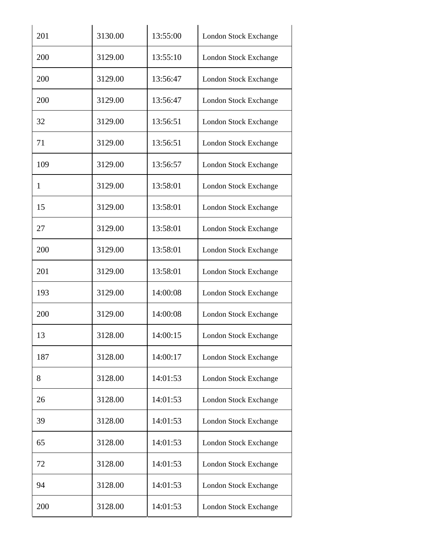| 201 | 3130.00 | 13:55:00 | <b>London Stock Exchange</b> |
|-----|---------|----------|------------------------------|
| 200 | 3129.00 | 13:55:10 | <b>London Stock Exchange</b> |
| 200 | 3129.00 | 13:56:47 | <b>London Stock Exchange</b> |
| 200 | 3129.00 | 13:56:47 | <b>London Stock Exchange</b> |
| 32  | 3129.00 | 13:56:51 | <b>London Stock Exchange</b> |
| 71  | 3129.00 | 13:56:51 | London Stock Exchange        |
| 109 | 3129.00 | 13:56:57 | London Stock Exchange        |
| 1   | 3129.00 | 13:58:01 | <b>London Stock Exchange</b> |
| 15  | 3129.00 | 13:58:01 | <b>London Stock Exchange</b> |
| 27  | 3129.00 | 13:58:01 | London Stock Exchange        |
| 200 | 3129.00 | 13:58:01 | <b>London Stock Exchange</b> |
| 201 | 3129.00 | 13:58:01 | <b>London Stock Exchange</b> |
| 193 | 3129.00 | 14:00:08 | <b>London Stock Exchange</b> |
| 200 | 3129.00 | 14:00:08 | <b>London Stock Exchange</b> |
| 13  | 3128.00 | 14:00:15 | <b>London Stock Exchange</b> |
| 187 | 3128.00 | 14:00:17 | <b>London Stock Exchange</b> |
| 8   | 3128.00 | 14:01:53 | <b>London Stock Exchange</b> |
| 26  | 3128.00 | 14:01:53 | <b>London Stock Exchange</b> |
| 39  | 3128.00 | 14:01:53 | <b>London Stock Exchange</b> |
| 65  | 3128.00 | 14:01:53 | <b>London Stock Exchange</b> |
| 72  | 3128.00 | 14:01:53 | <b>London Stock Exchange</b> |
| 94  | 3128.00 | 14:01:53 | <b>London Stock Exchange</b> |
| 200 | 3128.00 | 14:01:53 | <b>London Stock Exchange</b> |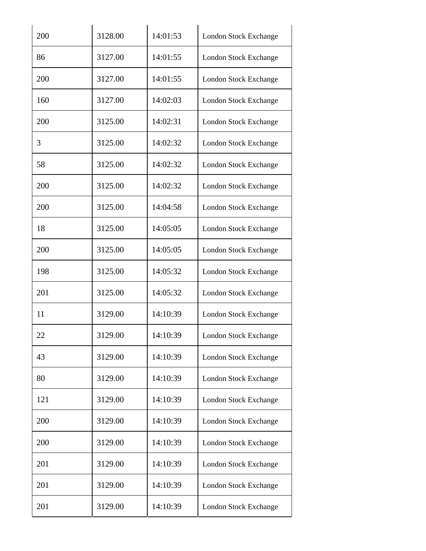| 200 | 3128.00 | 14:01:53 | <b>London Stock Exchange</b> |
|-----|---------|----------|------------------------------|
| 86  | 3127.00 | 14:01:55 | <b>London Stock Exchange</b> |
| 200 | 3127.00 | 14:01:55 | <b>London Stock Exchange</b> |
| 160 | 3127.00 | 14:02:03 | London Stock Exchange        |
| 200 | 3125.00 | 14:02:31 | <b>London Stock Exchange</b> |
| 3   | 3125.00 | 14:02:32 | <b>London Stock Exchange</b> |
| 58  | 3125.00 | 14:02:32 | <b>London Stock Exchange</b> |
| 200 | 3125.00 | 14:02:32 | London Stock Exchange        |
| 200 | 3125.00 | 14:04:58 | <b>London Stock Exchange</b> |
| 18  | 3125.00 | 14:05:05 | <b>London Stock Exchange</b> |
| 200 | 3125.00 | 14:05:05 | <b>London Stock Exchange</b> |
| 198 | 3125.00 | 14:05:32 | London Stock Exchange        |
| 201 | 3125.00 | 14:05:32 | <b>London Stock Exchange</b> |
| 11  | 3129.00 | 14:10:39 | <b>London Stock Exchange</b> |
| 22  | 3129.00 | 14:10:39 | <b>London Stock Exchange</b> |
| 43  | 3129.00 | 14:10:39 | <b>London Stock Exchange</b> |
| 80  | 3129.00 | 14:10:39 | London Stock Exchange        |
| 121 | 3129.00 | 14:10:39 | <b>London Stock Exchange</b> |
| 200 | 3129.00 | 14:10:39 | <b>London Stock Exchange</b> |
| 200 | 3129.00 | 14:10:39 | <b>London Stock Exchange</b> |
| 201 | 3129.00 | 14:10:39 | <b>London Stock Exchange</b> |
| 201 | 3129.00 | 14:10:39 | <b>London Stock Exchange</b> |
| 201 | 3129.00 | 14:10:39 | <b>London Stock Exchange</b> |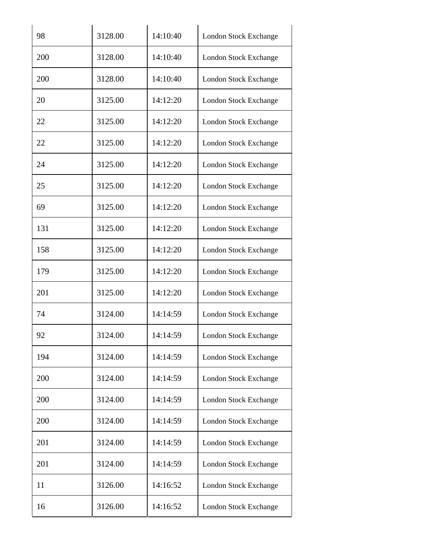| 98  | 3128.00 | 14:10:40 | <b>London Stock Exchange</b> |
|-----|---------|----------|------------------------------|
| 200 | 3128.00 | 14:10:40 | London Stock Exchange        |
| 200 | 3128.00 | 14:10:40 | <b>London Stock Exchange</b> |
| 20  | 3125.00 | 14:12:20 | <b>London Stock Exchange</b> |
| 22  | 3125.00 | 14:12:20 | <b>London Stock Exchange</b> |
| 22  | 3125.00 | 14:12:20 | <b>London Stock Exchange</b> |
| 24  | 3125.00 | 14:12:20 | <b>London Stock Exchange</b> |
| 25  | 3125.00 | 14:12:20 | <b>London Stock Exchange</b> |
| 69  | 3125.00 | 14:12:20 | <b>London Stock Exchange</b> |
| 131 | 3125.00 | 14:12:20 | London Stock Exchange        |
| 158 | 3125.00 | 14:12:20 | <b>London Stock Exchange</b> |
| 179 | 3125.00 | 14:12:20 | London Stock Exchange        |
| 201 | 3125.00 | 14:12:20 | <b>London Stock Exchange</b> |
| 74  | 3124.00 | 14:14:59 | <b>London Stock Exchange</b> |
| 92  | 3124.00 | 14:14:59 | London Stock Exchange        |
| 194 | 3124.00 | 14:14:59 | London Stock Exchange        |
| 200 | 3124.00 | 14:14:59 | <b>London Stock Exchange</b> |
| 200 | 3124.00 | 14:14:59 | <b>London Stock Exchange</b> |
| 200 | 3124.00 | 14:14:59 | London Stock Exchange        |
| 201 | 3124.00 | 14:14:59 | London Stock Exchange        |
| 201 | 3124.00 | 14:14:59 | <b>London Stock Exchange</b> |
| 11  | 3126.00 | 14:16:52 | <b>London Stock Exchange</b> |
| 16  | 3126.00 | 14:16:52 | <b>London Stock Exchange</b> |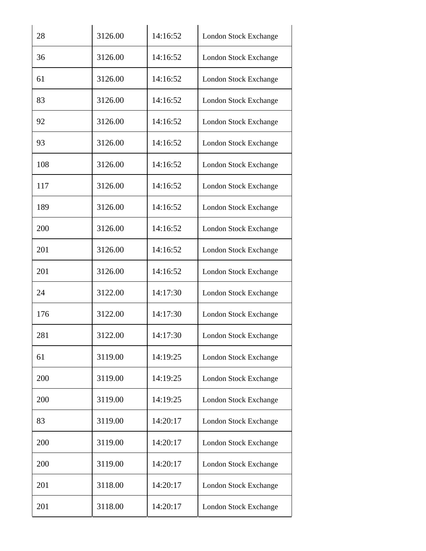| 28  | 3126.00 | 14:16:52 | <b>London Stock Exchange</b> |
|-----|---------|----------|------------------------------|
| 36  | 3126.00 | 14:16:52 | <b>London Stock Exchange</b> |
| 61  | 3126.00 | 14:16:52 | <b>London Stock Exchange</b> |
| 83  | 3126.00 | 14:16:52 | <b>London Stock Exchange</b> |
| 92  | 3126.00 | 14:16:52 | London Stock Exchange        |
| 93  | 3126.00 | 14:16:52 | <b>London Stock Exchange</b> |
| 108 | 3126.00 | 14:16:52 | <b>London Stock Exchange</b> |
| 117 | 3126.00 | 14:16:52 | <b>London Stock Exchange</b> |
| 189 | 3126.00 | 14:16:52 | <b>London Stock Exchange</b> |
| 200 | 3126.00 | 14:16:52 | <b>London Stock Exchange</b> |
| 201 | 3126.00 | 14:16:52 | <b>London Stock Exchange</b> |
| 201 | 3126.00 | 14:16:52 | <b>London Stock Exchange</b> |
| 24  | 3122.00 | 14:17:30 | <b>London Stock Exchange</b> |
| 176 | 3122.00 | 14:17:30 | <b>London Stock Exchange</b> |
| 281 | 3122.00 | 14:17:30 | <b>London Stock Exchange</b> |
| 61  | 3119.00 | 14:19:25 | London Stock Exchange        |
| 200 | 3119.00 | 14:19:25 | <b>London Stock Exchange</b> |
| 200 | 3119.00 | 14:19:25 | <b>London Stock Exchange</b> |
| 83  | 3119.00 | 14:20:17 | London Stock Exchange        |
| 200 | 3119.00 | 14:20:17 | <b>London Stock Exchange</b> |
| 200 | 3119.00 | 14:20:17 | <b>London Stock Exchange</b> |
| 201 | 3118.00 | 14:20:17 | <b>London Stock Exchange</b> |
| 201 | 3118.00 | 14:20:17 | <b>London Stock Exchange</b> |